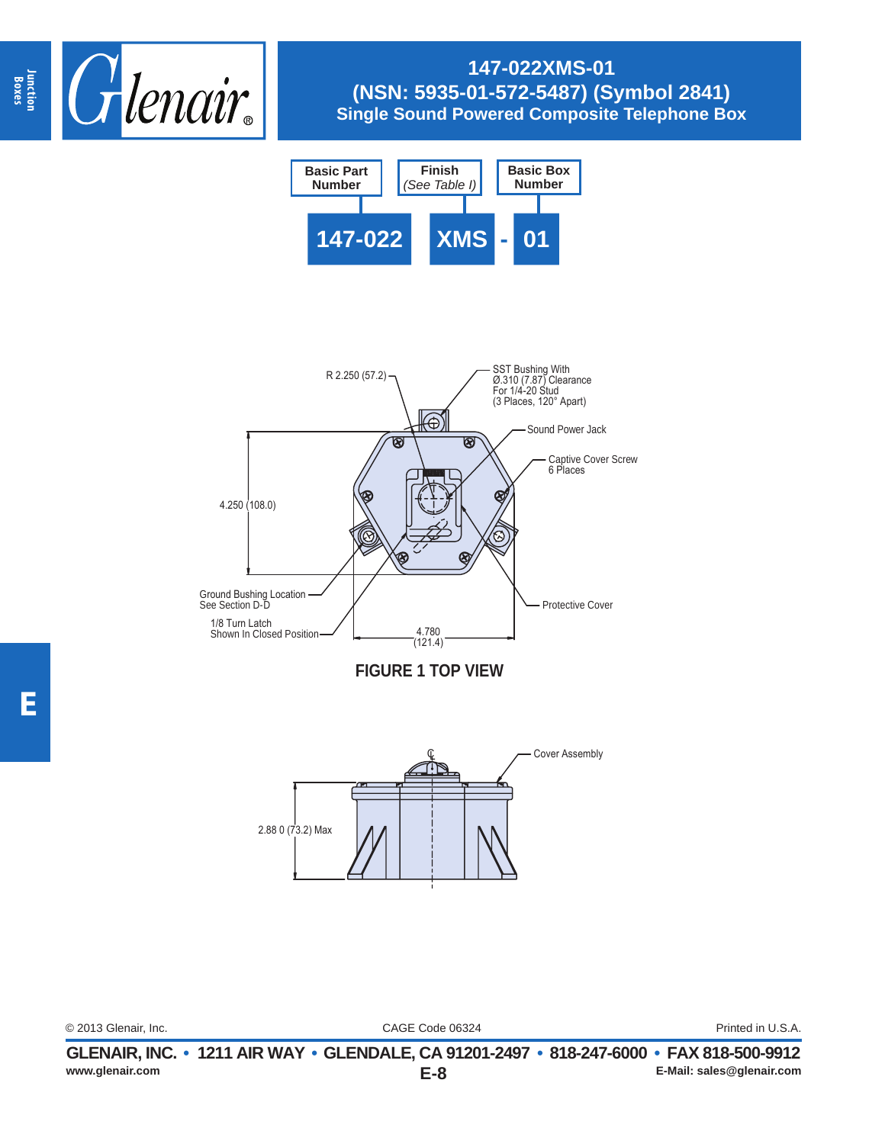

# **147-022XMS-01 (NSN: 5935-01-572-5487) (Symbol 2841) Single Sound Powered Composite Telephone Box**







CAGE Code 06324 © 2013 Glenair, Inc. Printed in U.S.A.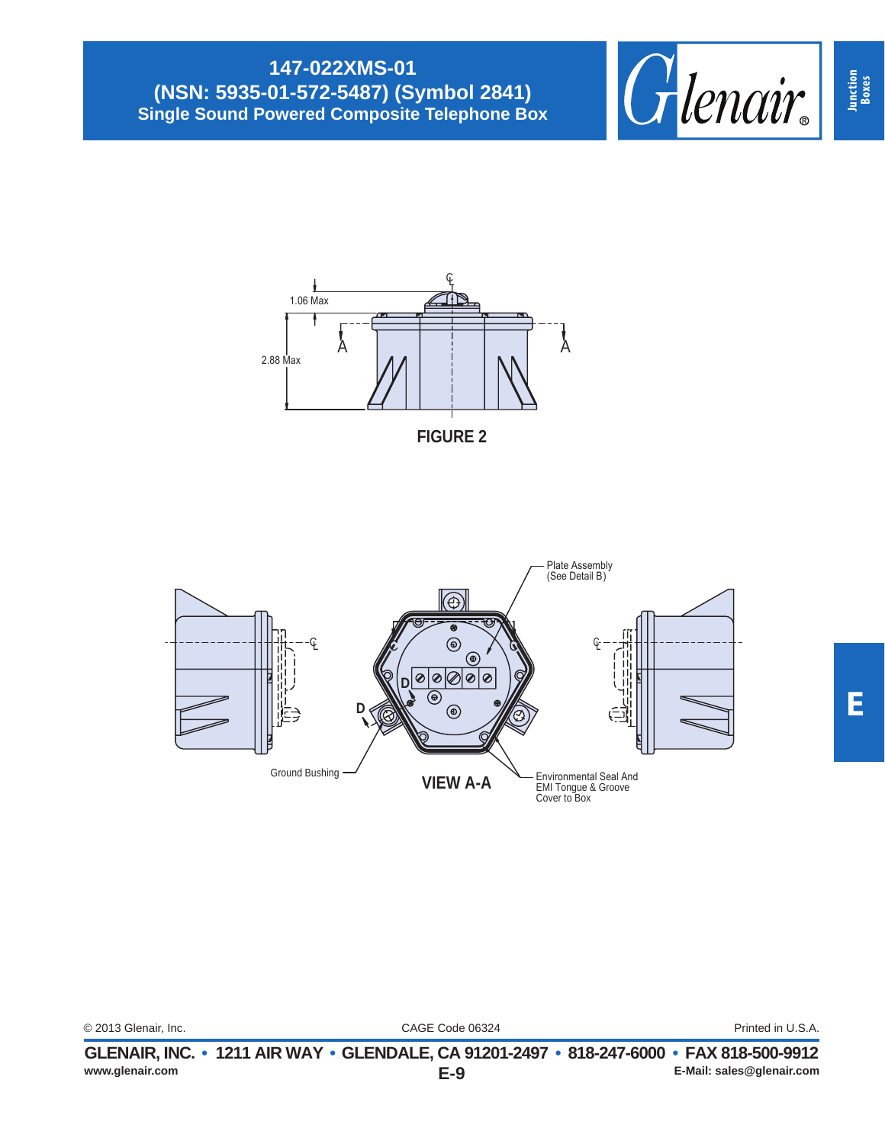## **147-022XMS-01 (NSN: 5935-01-572-5487) (Symbol 2841) Single Sound Powered Composite Telephone Box**









| www.glenair.com      | $E-9$                                                                                    | E-Mail: sales@glenair.com |
|----------------------|------------------------------------------------------------------------------------------|---------------------------|
|                      | GLENAIR, INC. • 1211 AIR WAY • GLENDALE, CA 91201-2497 • 818-247-6000 • FAX 818-500-9912 |                           |
| © 2013 Glenair, Inc. | CAGE Code 06324                                                                          | Printed in U.S.A.         |
|                      |                                                                                          |                           |

**Junction Boxes**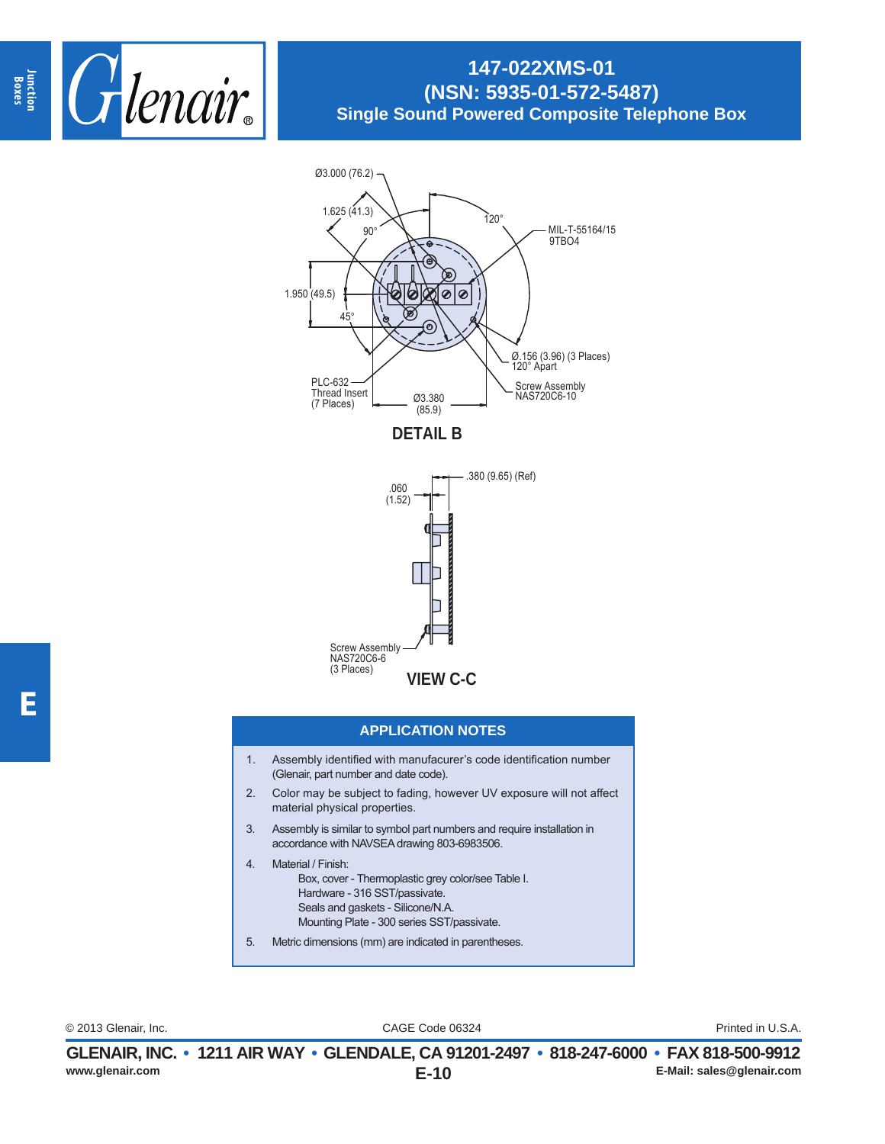

### **147-022XMS-01 (NSN: 5935-01-572-5487) Single Sound Powered Composite Telephone Box**



**DETAIL B**



#### **APPLICATION NOTES**

- 1. Assembly identified with manufacurer's code identification number (Glenair, part number and date code).
- 2. Color may be subject to fading, however UV exposure will not affect material physical properties.
- 3. Assembly is similar to symbol part numbers and require installation in accordance with NAVSEA drawing 803-6983506.
- 4. Material / Finish: Box, cover - Thermoplastic grey color/see Table I. Hardware - 316 SST/passivate. Seals and gaskets - Silicone/N.A. Mounting Plate - 300 series SST/passivate.
- 5. Metric dimensions (mm) are indicated in parentheses.

CAGE Code 06324 © 2013 Glenair, Inc. Printed in U.S.A.